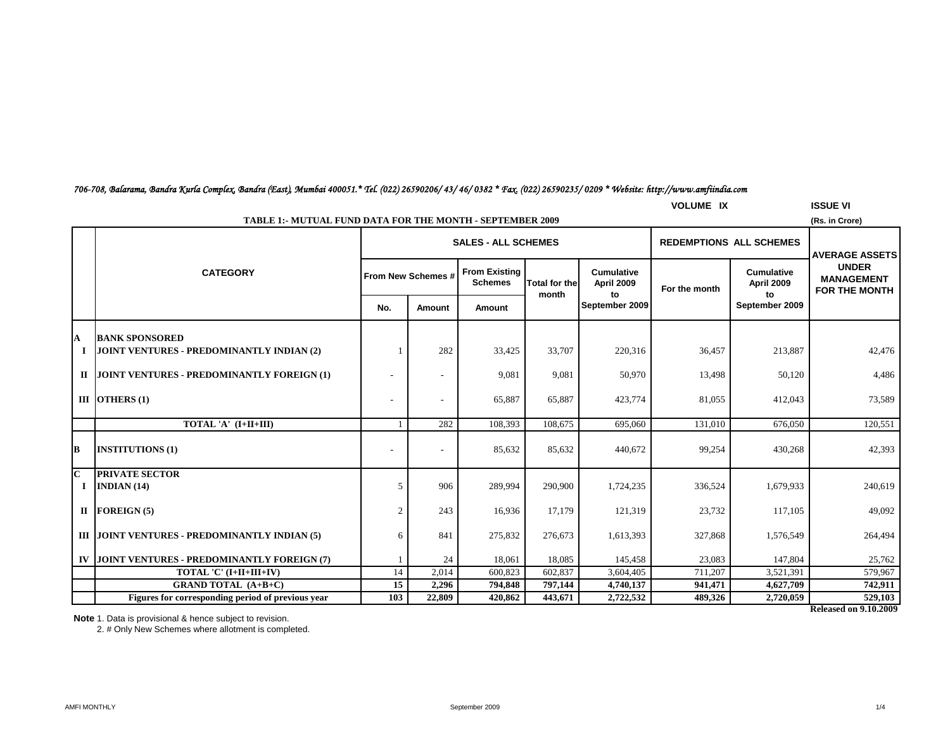### *706-708, Balarama, Bandra Kurla Complex, Bandra (East), Mumbai 400051.\* Tel. (022) 26590206/ 43/ 46/ 0382 \* Fax. (022) 26590235/ 0209 \* Website: http://www.amfiindia.com*

|                         | <b>VOLUME IX</b><br><b>ISSUE VI</b>                                                |     |                          |                                        |                      |                                                         |                                |                                       |                                                           |  |  |
|-------------------------|------------------------------------------------------------------------------------|-----|--------------------------|----------------------------------------|----------------------|---------------------------------------------------------|--------------------------------|---------------------------------------|-----------------------------------------------------------|--|--|
|                         | <b>TABLE 1:- MUTUAL FUND DATA FOR THE MONTH - SEPTEMBER 2009</b><br>(Rs. in Crore) |     |                          |                                        |                      |                                                         |                                |                                       |                                                           |  |  |
|                         |                                                                                    |     |                          | <b>SALES - ALL SCHEMES</b>             |                      |                                                         | <b>REDEMPTIONS ALL SCHEMES</b> |                                       | <b>AVERAGE ASSETS</b>                                     |  |  |
|                         | <b>CATEGORY</b>                                                                    |     | From New Schemes #       | <b>From Existing</b><br><b>Schemes</b> | <b>Total for the</b> | <b>Cumulative</b><br>April 2009<br>to<br>September 2009 | For the month                  | <b>Cumulative</b><br>April 2009<br>to | <b>UNDER</b><br><b>MANAGEMENT</b><br><b>FOR THE MONTH</b> |  |  |
|                         |                                                                                    | No. | Amount                   | Amount                                 | month                |                                                         |                                | September 2009                        |                                                           |  |  |
| A                       | <b>BANK SPONSORED</b>                                                              |     |                          |                                        |                      |                                                         |                                |                                       |                                                           |  |  |
|                         | I JOINT VENTURES - PREDOMINANTLY INDIAN (2)                                        |     | 282                      | 33,425                                 | 33,707               | 220,316                                                 | 36,457                         | 213,887                               | 42,476                                                    |  |  |
|                         | II JOINT VENTURES - PREDOMINANTLY FOREIGN (1)                                      |     |                          | 9,081                                  | 9,081                | 50,970                                                  | 13,498                         | 50,120                                | 4,486                                                     |  |  |
|                         | III OTHERS $(1)$                                                                   |     | $\overline{\phantom{a}}$ | 65,887                                 | 65,887               | 423,774                                                 | 81,055                         | 412,043                               | 73,589                                                    |  |  |
|                         | TOTAL 'A' (I+II+III)                                                               |     | 282                      | 108,393                                | 108,675              | 695,060                                                 | 131,010                        | 676,050                               | 120,551                                                   |  |  |
| В                       | <b>INSTITUTIONS (1)</b>                                                            |     | $\overline{\phantom{a}}$ | 85,632                                 | 85,632               | 440,672                                                 | 99,254                         | 430,268                               | 42,393                                                    |  |  |
| $\mathbf C$<br>$\bf{I}$ | <b>PRIVATE SECTOR</b><br>INDIAN(14)                                                | 5   | 906                      | 289,994                                | 290,900              | 1,724,235                                               | 336,524                        | 1,679,933                             | 240,619                                                   |  |  |
|                         | $II$ FOREIGN (5)                                                                   | 2   | 243                      | 16,936                                 | 17,179               | 121,319                                                 | 23,732                         | 117,105                               | 49,092                                                    |  |  |
|                         | III JOINT VENTURES - PREDOMINANTLY INDIAN (5)                                      | 6   | 841                      | 275,832                                | 276,673              | 1,613,393                                               | 327,868                        | 1,576,549                             | 264,494                                                   |  |  |
|                         | IV JOINT VENTURES - PREDOMINANTLY FOREIGN (7)                                      |     | 24                       | 18,061                                 | 18,085               | 145,458                                                 | 23,083                         | 147,804                               | 25,762                                                    |  |  |
|                         | TOTAL 'C' (I+II+III+IV)                                                            | 14  | 2,014                    | 600,823                                | 602,837              | 3,604,405                                               | 711,207                        | 3,521,391                             | 579,967                                                   |  |  |
|                         | <b>GRAND TOTAL (A+B+C)</b>                                                         | 15  | 2,296                    | 794,848                                | 797,144              | 4,740,137                                               | 941,471                        | 4,627,709                             | 742,911                                                   |  |  |
|                         | Figures for corresponding period of previous year                                  | 103 | 22,809                   | 420,862                                | 443,671              | 2,722,532                                               | 489,326                        | 2,720,059                             | 529,103                                                   |  |  |

**Released on 9.10.2009**

**Note** 1. Data is provisional & hence subject to revision.

2. # Only New Schemes where allotment is completed.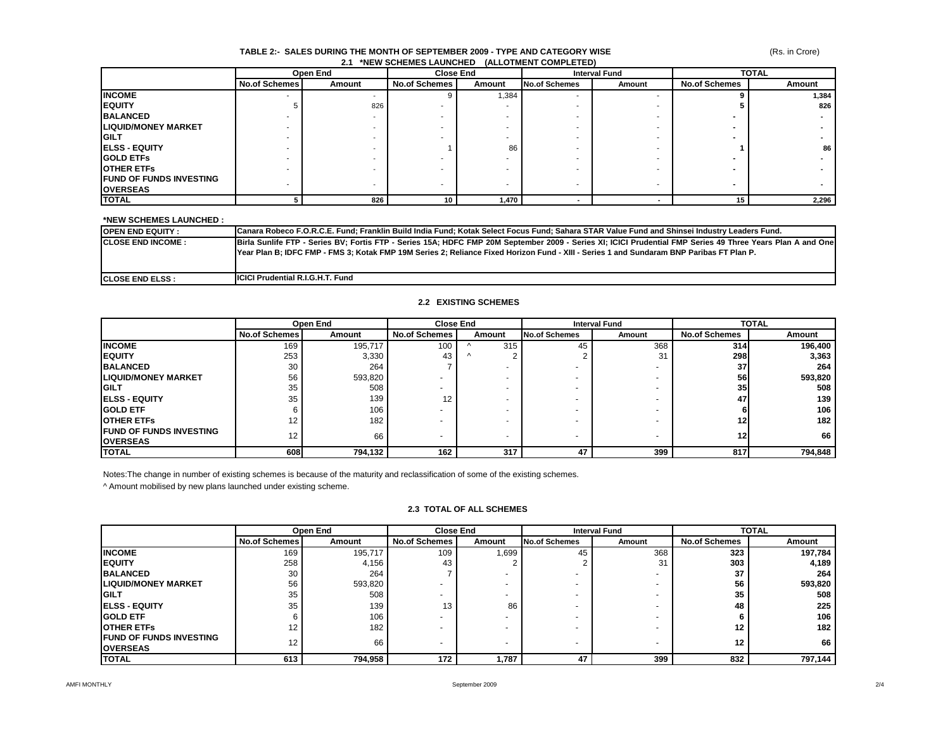### **TABLE 2:- SALES DURING THE MONTH OF SEPTEMBER 2009 - TYPE AND CATEGORY WISE 2.1 \*NEW SCHEMES LAUNCHED (ALLOTMENT COMPLETED)**

(Rs. in Crore)

|                                 |                          | Open End |                      | <b>Close End</b> | <b>Interval Fund</b>     |        | <b>TOTAL</b>         |        |
|---------------------------------|--------------------------|----------|----------------------|------------------|--------------------------|--------|----------------------|--------|
|                                 | <b>No.of Schemes</b>     | Amount   | <b>No.of Schemes</b> | Amount           | <b>No.of Schemes</b>     | Amount | <b>No.of Schemes</b> | Amount |
| <b>INCOME</b>                   | $\overline{\phantom{a}}$ |          |                      | 1,384            | $\overline{\phantom{a}}$ |        |                      | 1,384  |
| <b>IEQUITY</b>                  |                          | 826      |                      |                  |                          |        |                      | 826    |
| <b>BALANCED</b>                 |                          |          |                      |                  |                          |        |                      |        |
| <b>ILIQUID/MONEY MARKET</b>     |                          |          |                      |                  |                          |        |                      |        |
| <b>IGILT</b>                    |                          |          |                      |                  |                          |        |                      |        |
| <b>IELSS - EQUITY</b>           |                          |          |                      | 86               |                          |        |                      | 86     |
| <b>IGOLD ETFS</b>               |                          |          |                      |                  |                          |        |                      |        |
| <b>IOTHER ETFS</b>              |                          |          |                      |                  |                          |        |                      |        |
| <b>IFUND OF FUNDS INVESTING</b> |                          |          |                      |                  |                          |        |                      |        |
| <b>OVERSEAS</b>                 |                          |          |                      |                  |                          |        |                      |        |
| <b>TOTAL</b>                    |                          | 826      | 10                   | 1,470            |                          |        | 15                   | 2,296  |

### **\*NEW SCHEMES LAUNCHED :**

| <b>IOPEN END EQUITY:</b>  | Canara Robeco F.O.R.C.E. Fund; Franklin Build India Fund; Kotak Select Focus Fund; Sahara STAR Value Fund and Shinsei Industry Leaders Fund.                                                                                                                                                            |
|---------------------------|---------------------------------------------------------------------------------------------------------------------------------------------------------------------------------------------------------------------------------------------------------------------------------------------------------|
| <b>ICLOSE END INCOME:</b> | Birla Sunlife FTP - Series BV; Fortis FTP - Series 15A; HDFC FMP 20M September 2009 - Series XI; ICICI Prudential FMP Series 49 Three Years Plan A and One<br>[Year Plan B; IDFC FMP - FMS 3; Kotak FMP 19M Series 2; Reliance Fixed Horizon Fund - XIII - Series 1 and Sundaram BNP Paribas FT Plan P. |
| <b>ICLOSE END ELSS :</b>  | <b>ICICI Prudential R.I.G.H.T. Fund</b>                                                                                                                                                                                                                                                                 |

### **2.2 EXISTING SCHEMES**

|                                                   | Open End             |         |                      | <b>Close End</b> |                                | <b>Interval Fund</b>     |                      | <b>TOTAL</b>     |  |
|---------------------------------------------------|----------------------|---------|----------------------|------------------|--------------------------------|--------------------------|----------------------|------------------|--|
|                                                   | <b>No.of Schemes</b> | Amount  | <b>No.of Schemes</b> | Amount           | <b>No.of Schemes</b><br>Amount |                          | <b>No.of Schemes</b> | Amount           |  |
| <b>INCOME</b>                                     | 169                  | 195,717 | 100                  | 315              | 45                             | 368                      | 314                  | 196,400          |  |
| <b>IEQUITY</b>                                    | 253                  | 3,330   | 43                   | $\lambda$        |                                | 31                       | 298                  | 3,363            |  |
| <b>BALANCED</b>                                   | 30                   | 264     |                      |                  |                                | $\overline{\phantom{a}}$ | 37                   | 264              |  |
| <b>ILIQUID/MONEY MARKET</b>                       | 56                   | 593,820 |                      |                  |                                | -                        | 56                   | 593,820          |  |
| <b>IGILT</b>                                      | 35                   | 508     |                      |                  |                                |                          | 35 <sub>1</sub>      | 508              |  |
| <b>IELSS - EQUITY</b>                             | 35                   | 139     | 12                   |                  |                                |                          | 47                   | 139              |  |
| <b>IGOLD ETF</b>                                  |                      | 106     |                      |                  |                                |                          |                      | 106              |  |
| <b>IOTHER ETFS</b>                                | 12                   | 182     |                      |                  |                                |                          | $12 \,$              | 182 <sub>1</sub> |  |
| <b>FUND OF FUNDS INVESTING</b><br><b>OVERSEAS</b> | 12                   | 66      |                      |                  | $\overline{\phantom{0}}$       | -                        | 12                   | 66 l             |  |
| <b>TOTAL</b>                                      | 608                  | 794,132 | 162                  | 317              | 47                             | 399                      | 817                  | 794,848          |  |

Notes:The change in number of existing schemes is because of the maturity and reclassification of some of the existing schemes.

^ Amount mobilised by new plans launched under existing scheme.

### **2.3 TOTAL OF ALL SCHEMES**

|                                | Open End             |         | <b>Close End</b>     |        | <b>Interval Fund</b>     |        | <b>TOTAL</b>         |         |
|--------------------------------|----------------------|---------|----------------------|--------|--------------------------|--------|----------------------|---------|
|                                | <b>No.of Schemes</b> | Amount  | <b>No.of Schemes</b> | Amount | No.of Schemes            | Amount | <b>No.of Schemes</b> | Amount  |
| <b>INCOME</b>                  | 169                  | 195.717 | 109                  | 996.ا  | 45                       | 368    | 323                  | 197,784 |
| <b>IEQUITY</b>                 | 258                  | 4,156   | 43                   |        |                          | 31     | 303                  | 4,189   |
| <b>BALANCED</b>                | 30                   | 264     |                      |        |                          |        | 37                   | 264     |
| <b>LIQUID/MONEY MARKET</b>     | 56                   | 593,820 |                      | -      | $\overline{\phantom{0}}$ |        | 56                   | 593,820 |
| <b>IGILT</b>                   | 35                   | 508     |                      | -      | $\overline{\phantom{0}}$ |        | 35                   | 508     |
| <b>IELSS - EQUITY</b>          | 35                   | 139     | 13                   | 86     |                          |        | 48                   | 225     |
| <b>IGOLD ETF</b>               |                      | 106     |                      |        | $\overline{\phantom{0}}$ |        |                      | 106     |
| <b>OTHER ETFS</b>              | 12                   | 182     |                      |        |                          |        | 12                   | 182     |
| <b>FUND OF FUNDS INVESTING</b> | 12                   | 66      |                      |        | $\overline{\phantom{0}}$ |        | $12 \,$              | 66      |
| <b>OVERSEAS</b>                |                      |         |                      |        |                          |        |                      |         |
| <b>TOTAL</b>                   | 613                  | 794,958 | 172                  | 1.787  | 47                       | 399    | 832                  | 797,144 |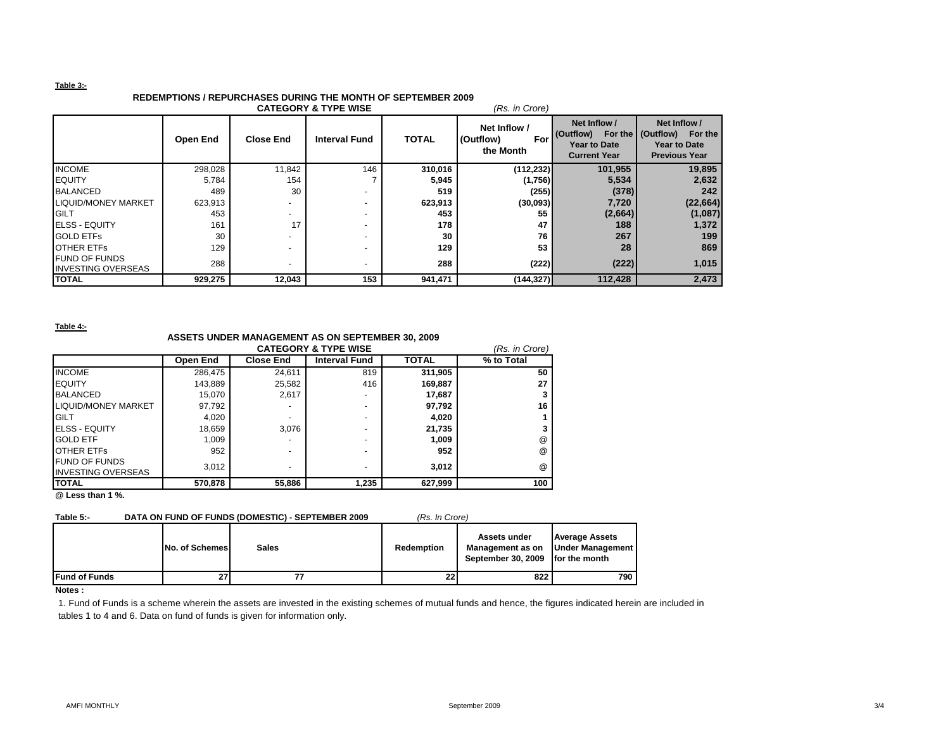### **Table 3:-**

# **REDEMPTIONS / REPURCHASES DURING THE MONTH OF SEPTEMBER 2009**

| <b>CATEGORY &amp; TYPE WISE</b><br>(Rs. in Crore) |          |                          |                          |              |                                               |                                                                         |                                                                                             |  |  |
|---------------------------------------------------|----------|--------------------------|--------------------------|--------------|-----------------------------------------------|-------------------------------------------------------------------------|---------------------------------------------------------------------------------------------|--|--|
|                                                   | Open End | <b>Close End</b>         | <b>Interval Fund</b>     | <b>TOTAL</b> | Net Inflow /<br>(Outflow)<br>For<br>the Month | Net Inflow /<br>(Outflow)<br><b>Year to Date</b><br><b>Current Year</b> | Net Inflow /<br>For the (Outflow)<br>For the<br><b>Year to Date</b><br><b>Previous Year</b> |  |  |
| <b>INCOME</b>                                     | 298,028  | 11,842                   | 146                      | 310,016      | (112, 232)                                    | 101,955                                                                 | 19,895                                                                                      |  |  |
| <b>IEQUITY</b>                                    | 5,784    | 154                      |                          | 5,945        | (1,756)                                       | 5,534                                                                   | 2,632                                                                                       |  |  |
| <b>BALANCED</b>                                   | 489      | 30                       |                          | 519          | (255)                                         | (378)                                                                   | 242                                                                                         |  |  |
| <b>LIQUID/MONEY MARKET</b>                        | 623,913  |                          |                          | 623,913      | (30,093)                                      | 7,720                                                                   | (22, 664)                                                                                   |  |  |
| <b>GILT</b>                                       | 453      | $\overline{\phantom{0}}$ | $\overline{\phantom{0}}$ | 453          | 55                                            | (2,664)                                                                 | (1,087)                                                                                     |  |  |
| <b>IELSS - EQUITY</b>                             | 161      | 17                       |                          | 178          | 47                                            | 188                                                                     | 1,372                                                                                       |  |  |
| <b>GOLD ETFS</b>                                  | 30       |                          |                          | 30           | 76                                            | 267                                                                     | 199                                                                                         |  |  |
| <b>OTHER ETFS</b>                                 | 129      | $\overline{\phantom{a}}$ |                          | 129          | 53                                            | 28                                                                      | 869                                                                                         |  |  |
| <b>FUND OF FUNDS</b><br><b>INVESTING OVERSEAS</b> | 288      | $\overline{\phantom{a}}$ |                          | 288          | (222)                                         | (222)                                                                   | 1,015                                                                                       |  |  |
| <b>TOTAL</b>                                      | 929,275  | 12,043                   | 153                      | 941,471      | (144, 327)                                    | 112,428                                                                 | 2,473                                                                                       |  |  |

**Table 4:-**

## **ASSETS UNDER MANAGEMENT AS ON SEPTEMBER 30, 2009**

|                            |          | (Rs. in Crore)   |                      |              |            |
|----------------------------|----------|------------------|----------------------|--------------|------------|
|                            | Open End | <b>Close End</b> | <b>Interval Fund</b> | <b>TOTAL</b> | % to Total |
| <b>INCOME</b>              | 286,475  | 24,611           | 819                  | 311,905      | 50         |
| <b>EQUITY</b>              | 143,889  | 25,582           | 416                  | 169,887      | 27         |
| <b>BALANCED</b>            | 15.070   | 2.617            | -                    | 17.687       |            |
| <b>LIQUID/MONEY MARKET</b> | 97.792   |                  | -                    | 97,792       | 16         |
| <b>GILT</b>                | 4,020    |                  | -                    | 4,020        |            |
| <b>IELSS - EQUITY</b>      | 18,659   | 3.076            | -                    | 21,735       |            |
| <b>GOLD ETF</b>            | 1,009    |                  | -                    | 1,009        | @          |
| <b>OTHER ETFS</b>          | 952      |                  |                      | 952          | $^{\circ}$ |
| <b>FUND OF FUNDS</b>       | 3.012    |                  | -                    | 3.012        | $^{\circ}$ |
| <b>INVESTING OVERSEAS</b>  |          |                  |                      |              |            |
| <b>TOTAL</b>               | 570,878  | 55,886           | 1,235                | 627,999      | 100        |

**@ Less than 1 %.**

### Table 5:- DATA ON FUND OF FUNDS (DOMESTIC) - SEPTEMBER 2009 *(Rs. In Crore*)

|  | (Rs. In Crore |
|--|---------------|
|  |               |
|  |               |

|                      | No. of Schemes | Sales | <b>Redemption</b> | Assets under<br>Management as on<br>September 30, 2009 for the month | <b>Average Assets</b><br><b>Under Management</b> |
|----------------------|----------------|-------|-------------------|----------------------------------------------------------------------|--------------------------------------------------|
| <b>Fund of Funds</b> | 27             |       | 22                | 822                                                                  | 790                                              |
| <b>New Service</b>   |                |       |                   |                                                                      |                                                  |

### **Notes :**

1. Fund of Funds is a scheme wherein the assets are invested in the existing schemes of mutual funds and hence, the figures indicated herein are included in tables 1 to 4 and 6. Data on fund of funds is given for information only.